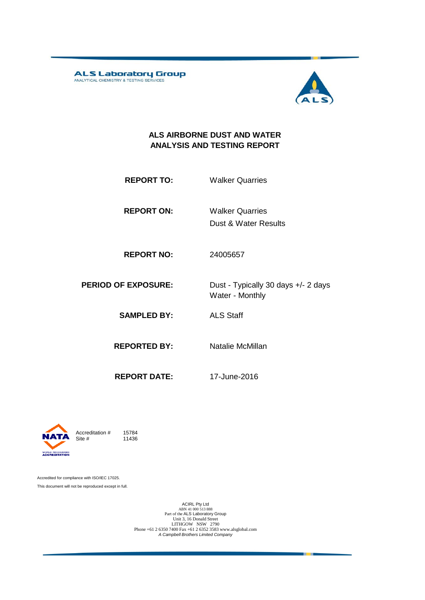ALS Laboratory Group



#### **ALS AIRBORNE DUST AND WATER ANALYSIS AND TESTING REPORT**

**REPORT TO:** Walker Quarries

**REPORT ON:** Dust & Water Results Walker Quarries

**REPORT NO:** 24005657

**PERIOD OF EXPOSURE:** Dust - Typically 30 days +/- 2 days

Water - Monthly

**SAMPLED BY:** ALS Staff

**REPORTED BY:** Natalie McMillan

**REPORT DATE:** 17-June-2016



Accreditation  $\#$  15784<br>Site  $\#$  11436 11436

Accredited for compliance with ISO/IEC 17025. This document will not be reproduced except in full.

> ACIRL Pty Ltd<br>
> ABN 41 000 513 888<br>
> Part of the ALS Laboratory Group<br>
> Unit 3, 16 Donald Street LITHGOW NSW 2790 Phone +61 2 6350 7400 Fax +61 2 6352 3583 www.alsglobal.com *A Campbell Brothers Limited Company*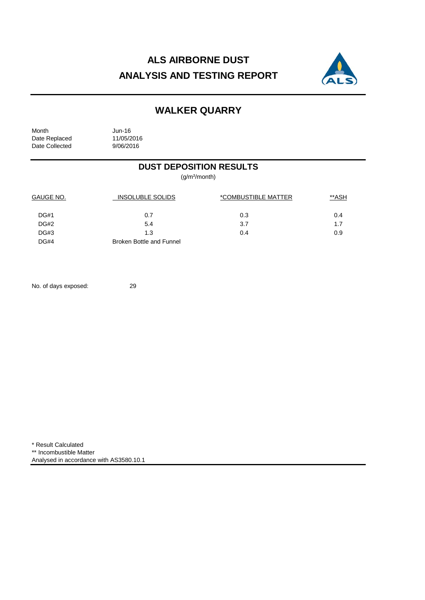## **ALS AIRBORNE DUST ANALYSIS AND TESTING REPORT**



### **WALKER QUARRY**

Month Jun-16<br>Date Replaced 11/05/2016 Date Replaced 11/05/2016<br>Date Collected 9/06/2016 Date Collected

### **DUST DEPOSITION RESULTS**

(g/m²/month)

| <b>GAUGE NO.</b> | <b>INSOLUBLE SOLIDS</b>         | *COMBUSTIBLE MATTER | **ASH |
|------------------|---------------------------------|---------------------|-------|
| DG#1             | 0.7                             | 0.3                 | 0.4   |
| DG#2             | 5.4                             | 3.7                 | 1.7   |
| DG#3             | 1.3                             | 0.4                 | 0.9   |
| <b>DG#4</b>      | <b>Broken Bottle and Funnel</b> |                     |       |

No. of days exposed: 29

\* Result Calculated \*\* Incombustible Matter Analysed in accordance with AS3580.10.1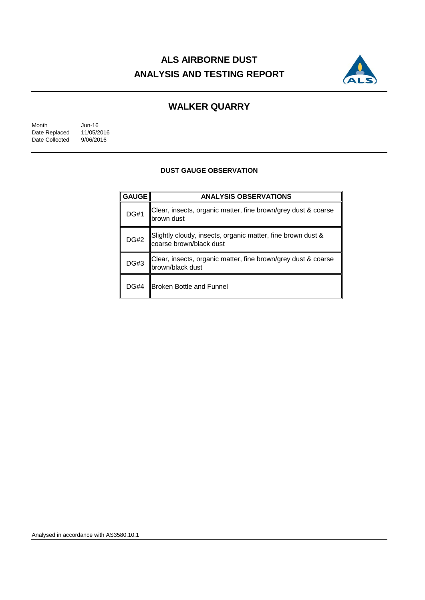## **ALS AIRBORNE DUST ANALYSIS AND TESTING REPORT**



### **WALKER QUARRY**

Month Jun-16<br>Date Replaced 11/05/2016 Date Replaced 11/05/2016<br>Date Collected 9/06/2016 Date Collected

#### **DUST GAUGE OBSERVATION**

| <b>GAUGE</b> | <b>ANALYSIS OBSERVATIONS</b>                                                           |  |  |
|--------------|----------------------------------------------------------------------------------------|--|--|
| <b>DG#1</b>  | Clear, insects, organic matter, fine brown/grey dust & coarse<br>brown dust            |  |  |
| <b>DG#2</b>  | Slightly cloudy, insects, organic matter, fine brown dust &<br>coarse brown/black dust |  |  |
| <b>DG#3</b>  | Clear, insects, organic matter, fine brown/grey dust & coarse<br>brown/black dust      |  |  |
| <b>DG#4</b>  | <b>Broken Bottle and Funnel</b>                                                        |  |  |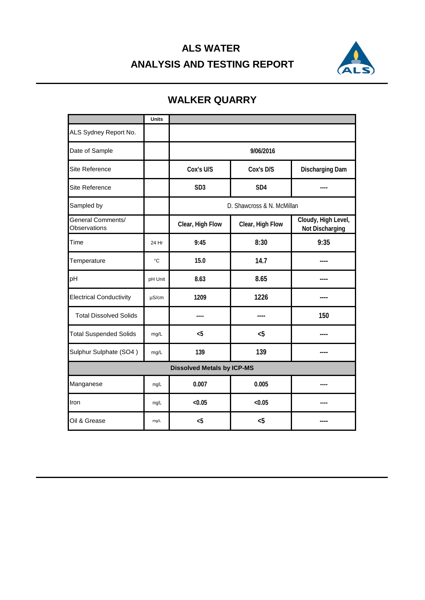# **ALS WATER ANALYSIS AND TESTING REPORT**



|                                   | <b>Units</b> |                            |                  |                                               |  |  |
|-----------------------------------|--------------|----------------------------|------------------|-----------------------------------------------|--|--|
| ALS Sydney Report No.             |              |                            |                  |                                               |  |  |
| Date of Sample                    |              | 9/06/2016                  |                  |                                               |  |  |
| Site Reference                    |              | Cox's U/S                  | Cox's D/S        | <b>Discharging Dam</b>                        |  |  |
| <b>Site Reference</b>             |              | SD <sub>3</sub>            | SD <sub>4</sub>  |                                               |  |  |
| Sampled by                        |              | D. Shawcross & N. McMillan |                  |                                               |  |  |
| General Comments/<br>Observations |              | Clear, High Flow           | Clear, High Flow | Cloudy, High Level,<br><b>Not Discharging</b> |  |  |
| Time                              | 24 Hr        | 9:45                       | 8:30             | 9:35                                          |  |  |
| Temperature                       | °C           | 15.0                       | 14.7             |                                               |  |  |
| pH                                | pH Unit      | 8.63                       | 8.65             |                                               |  |  |
| <b>Electrical Conductivity</b>    | $\mu$ S/cm   | 1209                       | 1226             |                                               |  |  |
| <b>Total Dissolved Solids</b>     |              | ----                       |                  | 150                                           |  |  |
| <b>Total Suspended Solids</b>     | mg/L         | < 5                        | $5$              |                                               |  |  |
| Sulphur Sulphate (SO4)            | mg/L         | 139                        | 139              |                                               |  |  |
| <b>Dissolved Metals by ICP-MS</b> |              |                            |                  |                                               |  |  |
| Manganese                         | mg/L         | 0.007                      | 0.005            | ----                                          |  |  |
| Iron                              | mg/L         | < 0.05                     | < 0.05           |                                               |  |  |
| Oil & Grease                      | $mg/L$       | $5$                        | < 5              |                                               |  |  |

## **WALKER QUARRY**